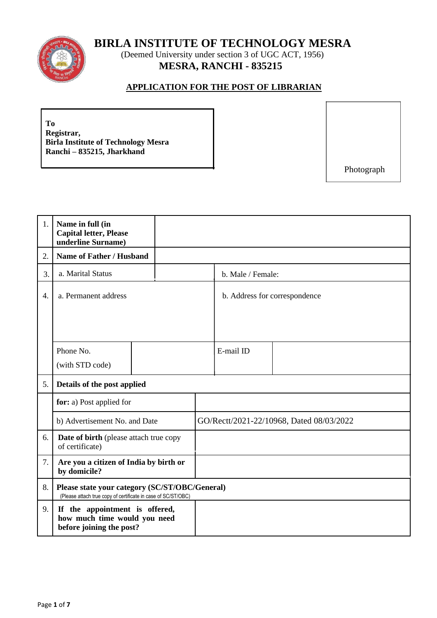**BIRLA INSTITUTE OF TECHNOLOGY MESRA**



(Deemed University under section 3 of UGC ACT, 1956) **MESRA, RANCHI - 835215**

## **APPLICATION FOR THE POST OF LIBRARIAN**

**To Registrar, Birla Institute of Technology Mesra Ranchi – 835215, Jharkhand**

Photograph

| 1. | Name in full (in<br><b>Capital letter, Please</b><br>underline Surname)                                         |  |                               |                                          |  |
|----|-----------------------------------------------------------------------------------------------------------------|--|-------------------------------|------------------------------------------|--|
| 2. | <b>Name of Father / Husband</b>                                                                                 |  |                               |                                          |  |
| 3. | a. Marital Status                                                                                               |  | b. Male / Female:             |                                          |  |
| 4. | a. Permanent address                                                                                            |  | b. Address for correspondence |                                          |  |
|    | Phone No.<br>(with STD code)                                                                                    |  | E-mail ID                     |                                          |  |
| 5. | Details of the post applied                                                                                     |  |                               |                                          |  |
|    | for: a) Post applied for                                                                                        |  |                               |                                          |  |
|    | b) Advertisement No. and Date                                                                                   |  |                               | GO/Rectt/2021-22/10968, Dated 08/03/2022 |  |
| 6. | Date of birth (please attach true copy<br>of certificate)                                                       |  |                               |                                          |  |
| 7. | Are you a citizen of India by birth or<br>by domicile?                                                          |  |                               |                                          |  |
| 8. | Please state your category (SC/ST/OBC/General)<br>(Please attach true copy of certificate in case of SC/ST/OBC) |  |                               |                                          |  |
| 9. | If the appointment is offered,<br>how much time would you need<br>before joining the post?                      |  |                               |                                          |  |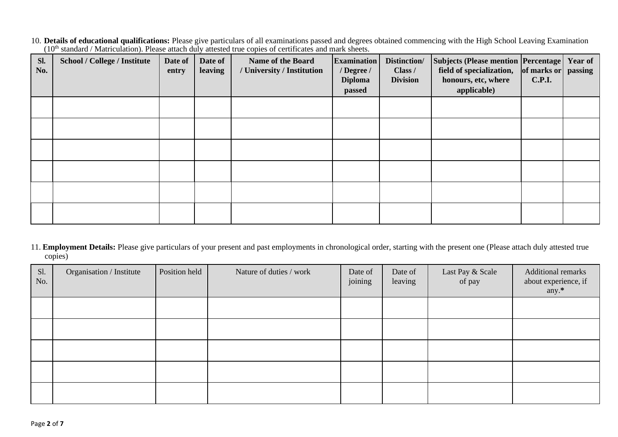10. **Details of educational qualifications:** Please give particulars of all examinations passed and degrees obtained commencing with the High School Leaving Examination (10<sup>th</sup> standard / Matriculation). Please attach duly attested true copies of certificates and mark sheets.

| Sl.<br>No. | <b>School / College / Institute</b> | Date of<br>entry | Date of<br>leaving | <b>Name of the Board</b><br>/ University / Institution | <b>Examination</b><br>/ Degree /<br><b>Diploma</b><br>passed | Distinction/<br>Class /<br><b>Division</b> | <b>Subjects (Please mention Percentage)</b><br>field of specialization,<br>honours, etc, where<br>applicable) | of marks or<br><b>C.P.I.</b> | Year of<br>passing |
|------------|-------------------------------------|------------------|--------------------|--------------------------------------------------------|--------------------------------------------------------------|--------------------------------------------|---------------------------------------------------------------------------------------------------------------|------------------------------|--------------------|
|            |                                     |                  |                    |                                                        |                                                              |                                            |                                                                                                               |                              |                    |
|            |                                     |                  |                    |                                                        |                                                              |                                            |                                                                                                               |                              |                    |
|            |                                     |                  |                    |                                                        |                                                              |                                            |                                                                                                               |                              |                    |
|            |                                     |                  |                    |                                                        |                                                              |                                            |                                                                                                               |                              |                    |
|            |                                     |                  |                    |                                                        |                                                              |                                            |                                                                                                               |                              |                    |
|            |                                     |                  |                    |                                                        |                                                              |                                            |                                                                                                               |                              |                    |

11. **Employment Details:** Please give particulars of your present and past employments in chronological order, starting with the present one (Please attach duly attested true copies)

| Sl.<br>No. | Organisation / Institute | Position held | Nature of duties / work | Date of<br>joining | Date of<br>leaving | Last Pay & Scale<br>of pay | Additional remarks<br>about experience, if<br>any.* |
|------------|--------------------------|---------------|-------------------------|--------------------|--------------------|----------------------------|-----------------------------------------------------|
|            |                          |               |                         |                    |                    |                            |                                                     |
|            |                          |               |                         |                    |                    |                            |                                                     |
|            |                          |               |                         |                    |                    |                            |                                                     |
|            |                          |               |                         |                    |                    |                            |                                                     |
|            |                          |               |                         |                    |                    |                            |                                                     |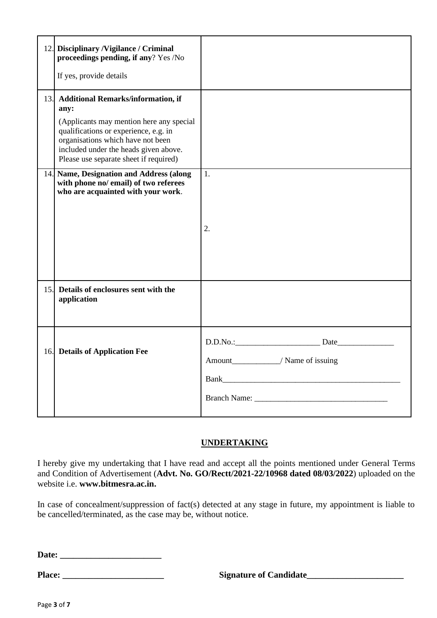| 12. Disciplinary / Vigilance / Criminal<br>proceedings pending, if any? Yes /No                                                                                                                                   |                                  |
|-------------------------------------------------------------------------------------------------------------------------------------------------------------------------------------------------------------------|----------------------------------|
|                                                                                                                                                                                                                   |                                  |
| If yes, provide details                                                                                                                                                                                           |                                  |
| 13. Additional Remarks/information, if<br>any:<br>(Applicants may mention here any special<br>qualifications or experience, e.g. in<br>organisations which have not been<br>included under the heads given above. |                                  |
| Please use separate sheet if required)                                                                                                                                                                            |                                  |
| 14. Name, Designation and Address (along<br>with phone no/ email) of two referees<br>who are acquainted with your work.                                                                                           | 1.<br>2.                         |
|                                                                                                                                                                                                                   |                                  |
| 15. Details of enclosures sent with the<br>application                                                                                                                                                            |                                  |
| 16. Details of Application Fee                                                                                                                                                                                    | Amount_________/ Name of issuing |
|                                                                                                                                                                                                                   |                                  |

# **UNDERTAKING**

I hereby give my undertaking that I have read and accept all the points mentioned under General Terms and Condition of Advertisement (**Advt. No. GO/Rectt/2021-22/10968 dated 08/03/2022**) uploaded on the website i.e. **www.bitmesra.ac.in.**

In case of concealment/suppression of fact(s) detected at any stage in future, my appointment is liable to be cancelled/terminated, as the case may be, without notice.

**Date: \_\_\_\_\_\_\_\_\_\_\_\_\_\_\_\_\_\_\_\_\_\_\_**

**Place: \_\_\_\_\_\_\_\_\_\_\_\_\_\_\_\_\_\_\_\_\_\_\_ Signature of Candidate\_\_\_\_\_\_\_\_\_\_\_\_\_\_\_\_\_\_\_\_\_\_**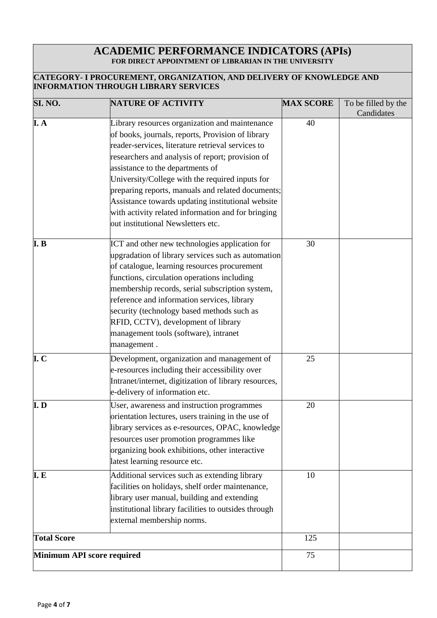#### **ACADEMIC PERFORMANCE INDICATORS (APIs) FOR DIRECT APPOINTMENT OF LIBRARIAN IN THE UNIVERSITY**

#### **CATEGORY- I PROCUREMENT, ORGANIZATION, AND DELIVERY OF KNOWLEDGE AND INFORMATION THROUGH LIBRARY SERVICES**

| SI. NO.                    | <b>NATURE OF ACTIVITY</b>                                                                                                                                                                                                                                                                                                                                                                                                                                                                                 | <b>MAX SCORE</b> | To be filled by the<br>Candidates |
|----------------------------|-----------------------------------------------------------------------------------------------------------------------------------------------------------------------------------------------------------------------------------------------------------------------------------------------------------------------------------------------------------------------------------------------------------------------------------------------------------------------------------------------------------|------------------|-----------------------------------|
| I. A                       | Library resources organization and maintenance<br>of books, journals, reports, Provision of library<br>reader-services, literature retrieval services to<br>researchers and analysis of report; provision of<br>assistance to the departments of<br>University/College with the required inputs for<br>preparing reports, manuals and related documents;<br>Assistance towards updating institutional website<br>with activity related information and for bringing<br>out institutional Newsletters etc. | 40               |                                   |
| I.B                        | ICT and other new technologies application for<br>upgradation of library services such as automation<br>of catalogue, learning resources procurement<br>functions, circulation operations including<br>membership records, serial subscription system,<br>reference and information services, library<br>security (technology based methods such as<br>RFID, CCTV), development of library<br>management tools (software), intranet<br>management.                                                        | 30               |                                   |
| I.C                        | Development, organization and management of<br>e-resources including their accessibility over<br>Intranet/internet, digitization of library resources,<br>e-delivery of information etc.                                                                                                                                                                                                                                                                                                                  | 25               |                                   |
| I. D                       | User, awareness and instruction programmes<br>orientation lectures, users training in the use of<br>library services as e-resources, OPAC, knowledge<br>resources user promotion programmes like<br>organizing book exhibitions, other interactive<br>latest learning resource etc.                                                                                                                                                                                                                       | 20               |                                   |
| I. E                       | Additional services such as extending library<br>facilities on holidays, shelf order maintenance,<br>library user manual, building and extending<br>institutional library facilities to outsides through<br>external membership norms.                                                                                                                                                                                                                                                                    | 10               |                                   |
| <b>Total Score</b>         |                                                                                                                                                                                                                                                                                                                                                                                                                                                                                                           | 125              |                                   |
| Minimum API score required |                                                                                                                                                                                                                                                                                                                                                                                                                                                                                                           | 75               |                                   |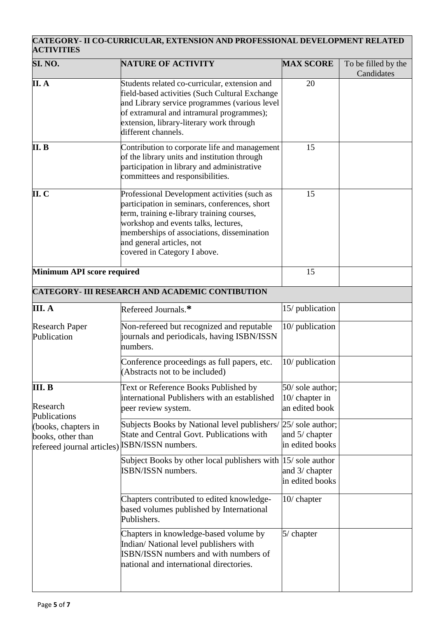### **CATEGORY- II CO-CURRICULAR, EXTENSION AND PROFESSIONAL DEVELOPMENT RELATED ACTIVITIES**

| SI. NO.                                                                | <b>NATURE OF ACTIVITY</b>                                                                                                                                                                                                                                                                      | <b>MAX SCORE</b>                                       | To be filled by the<br>Candidates |
|------------------------------------------------------------------------|------------------------------------------------------------------------------------------------------------------------------------------------------------------------------------------------------------------------------------------------------------------------------------------------|--------------------------------------------------------|-----------------------------------|
| II. A                                                                  | Students related co-curricular, extension and<br>field-based activities (Such Cultural Exchange<br>and Library service programmes (various level<br>of extramural and intramural programmes);<br>extension, library-literary work through<br>different channels.                               | 20                                                     |                                   |
| II. B                                                                  | Contribution to corporate life and management<br>of the library units and institution through<br>participation in library and administrative<br>committees and responsibilities.                                                                                                               | 15                                                     |                                   |
| II. C                                                                  | Professional Development activities (such as<br>participation in seminars, conferences, short<br>term, training e-library training courses,<br>workshop and events talks, lectures,<br>memberships of associations, dissemination<br>and general articles, not<br>covered in Category I above. | 15                                                     |                                   |
| Minimum API score required                                             |                                                                                                                                                                                                                                                                                                | 15                                                     |                                   |
|                                                                        | <b>CATEGORY- III RESEARCH AND ACADEMIC CONTIBUTION</b>                                                                                                                                                                                                                                         |                                                        |                                   |
| III. A                                                                 | Refereed Journals.*                                                                                                                                                                                                                                                                            | 15/ publication                                        |                                   |
| <b>Research Paper</b><br>Publication                                   | Non-refereed but recognized and reputable<br>journals and periodicals, having ISBN/ISSN<br>numbers.                                                                                                                                                                                            | 10/ publication                                        |                                   |
|                                                                        | Conference proceedings as full papers, etc.<br>(Abstracts not to be included)                                                                                                                                                                                                                  | 10/ publication                                        |                                   |
| III. B<br>Research<br>Publications                                     | Text or Reference Books Published by<br>international Publishers with an established<br>peer review system.                                                                                                                                                                                    | 50/ sole author;<br>$10/$ chapter in<br>an edited book |                                   |
| (books, chapters in<br>books, other than<br>refereed journal articles) | Subjects Books by National level publishers/ 25/ sole author;<br>State and Central Govt. Publications with<br>ISBN/ISSN numbers.                                                                                                                                                               | and 5/ chapter<br>in edited books                      |                                   |
|                                                                        | Subject Books by other local publishers with $ 15/$ sole author<br><b>ISBN/ISSN</b> numbers.                                                                                                                                                                                                   | and 3/ chapter<br>in edited books                      |                                   |
|                                                                        | Chapters contributed to edited knowledge-<br>based volumes published by International<br>Publishers.                                                                                                                                                                                           | $10/$ chapter                                          |                                   |
|                                                                        | Chapters in knowledge-based volume by<br>Indian/National level publishers with<br>ISBN/ISSN numbers and with numbers of<br>national and international directories.                                                                                                                             | 5/ chapter                                             |                                   |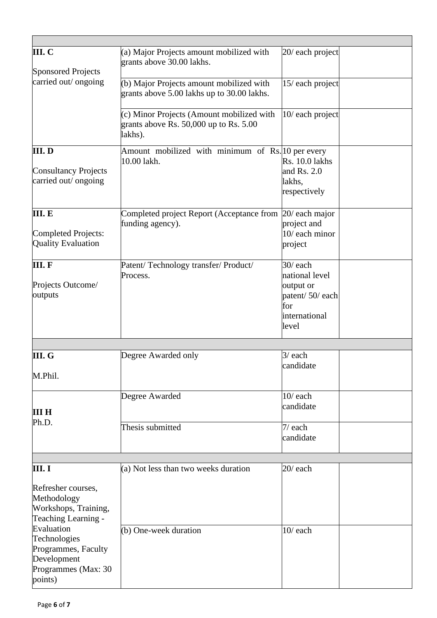| III. C<br><b>Sponsored Projects</b>                                                                | (a) Major Projects amount mobilized with<br>grants above 30.00 lakhs.                              | 20/ each project                                                                          |  |
|----------------------------------------------------------------------------------------------------|----------------------------------------------------------------------------------------------------|-------------------------------------------------------------------------------------------|--|
| carried out/ ongoing                                                                               | (b) Major Projects amount mobilized with<br>grants above 5.00 lakhs up to 30.00 lakhs.             | 15/ each project                                                                          |  |
|                                                                                                    | (c) Minor Projects (Amount mobilized with<br>grants above Rs. $50,000$ up to Rs. $5.00$<br>lakhs). | 10/ each project                                                                          |  |
| III.D<br><b>Consultancy Projects</b><br>carried out/ ongoing                                       | Amount mobilized with minimum of Rs. 10 per every<br>10.00 lakh.                                   | <b>Rs. 10.0 lakhs</b><br>and Rs. $2.0$<br>lakhs,<br>respectively                          |  |
| III. E<br>Completed Projects:<br><b>Quality Evaluation</b>                                         | Completed project Report (Acceptance from<br>funding agency).                                      | 20/ each major<br>project and<br>10/ each minor<br>project                                |  |
| III.F<br>Projects Outcome/<br>outputs                                                              | Patent/Technology transfer/Product/<br>Process.                                                    | 30/each<br>national level<br>output or<br>patent/50/each<br>for<br>international<br>level |  |
|                                                                                                    |                                                                                                    |                                                                                           |  |
| III. G<br>M.Phil.                                                                                  | Degree Awarded only                                                                                | $3/$ each<br>candidate                                                                    |  |
| ШН                                                                                                 | Degree Awarded                                                                                     | $10/$ each<br>candidate                                                                   |  |
| Ph.D.                                                                                              | Thesis submitted                                                                                   | $7/$ each<br>candidate                                                                    |  |
|                                                                                                    |                                                                                                    |                                                                                           |  |
| III. I<br>Refresher courses,<br>Methodology<br>Workshops, Training,<br>Teaching Learning -         | (a) Not less than two weeks duration                                                               | $20/$ each                                                                                |  |
| Evaluation<br>Technologies<br>Programmes, Faculty<br>Development<br>Programmes (Max: 30<br>points) | (b) One-week duration                                                                              | $10/$ each                                                                                |  |